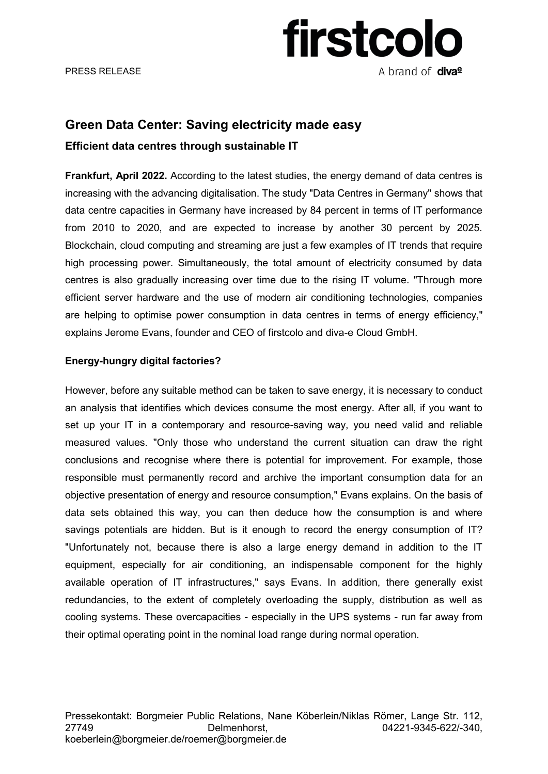PRESS RELEASE

# firstcolo A brand of diva<sup>e</sup>

### **Green Data Center: Saving electricity made easy**

### **Efficient data centres through sustainable IT**

**Frankfurt, April 2022.** According to the latest studies, the energy demand of data centres is increasing with the advancing digitalisation. The study "Data Centres in Germany" shows that data centre capacities in Germany have increased by 84 percent in terms of IT performance from 2010 to 2020, and are expected to increase by another 30 percent by 2025. Blockchain, cloud computing and streaming are just a few examples of IT trends that require high processing power. Simultaneously, the total amount of electricity consumed by data centres is also gradually increasing over time due to the rising IT volume. "Through more efficient server hardware and the use of modern air conditioning technologies, companies are helping to optimise power consumption in data centres in terms of energy efficiency," explains Jerome Evans, founder and CEO of firstcolo and diva-e Cloud GmbH.

### **Energy-hungry digital factories?**

However, before any suitable method can be taken to save energy, it is necessary to conduct an analysis that identifies which devices consume the most energy. After all, if you want to set up your IT in a contemporary and resource-saving way, you need valid and reliable measured values. "Only those who understand the current situation can draw the right conclusions and recognise where there is potential for improvement. For example, those responsible must permanently record and archive the important consumption data for an objective presentation of energy and resource consumption," Evans explains. On the basis of data sets obtained this way, you can then deduce how the consumption is and where savings potentials are hidden. But is it enough to record the energy consumption of IT? "Unfortunately not, because there is also a large energy demand in addition to the IT equipment, especially for air conditioning, an indispensable component for the highly available operation of IT infrastructures," says Evans. In addition, there generally exist redundancies, to the extent of completely overloading the supply, distribution as well as cooling systems. These overcapacities - especially in the UPS systems - run far away from their optimal operating point in the nominal load range during normal operation.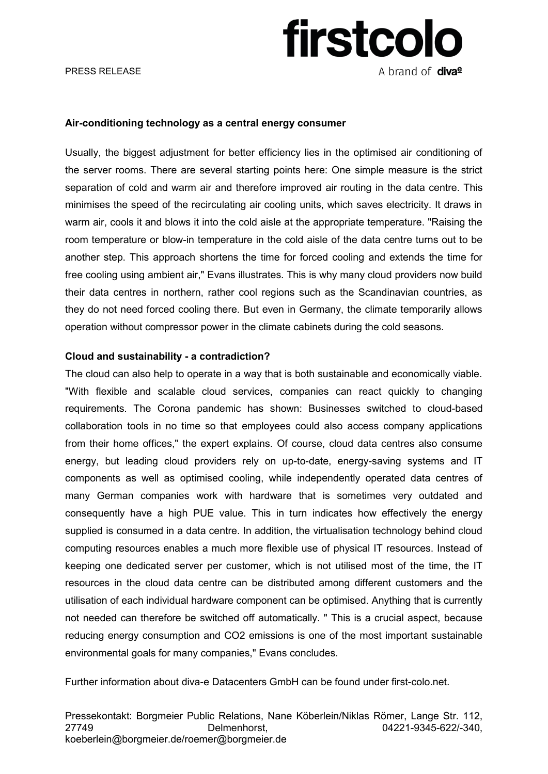# firstcolo A brand of diva<sup>e</sup>

#### **Air-conditioning technology as a central energy consumer**

Usually, the biggest adjustment for better efficiency lies in the optimised air conditioning of the server rooms. There are several starting points here: One simple measure is the strict separation of cold and warm air and therefore improved air routing in the data centre. This minimises the speed of the recirculating air cooling units, which saves electricity. It draws in warm air, cools it and blows it into the cold aisle at the appropriate temperature. "Raising the room temperature or blow-in temperature in the cold aisle of the data centre turns out to be another step. This approach shortens the time for forced cooling and extends the time for free cooling using ambient air," Evans illustrates. This is why many cloud providers now build their data centres in northern, rather cool regions such as the Scandinavian countries, as they do not need forced cooling there. But even in Germany, the climate temporarily allows operation without compressor power in the climate cabinets during the cold seasons.

#### **Cloud and sustainability - a contradiction?**

The cloud can also help to operate in a way that is both sustainable and economically viable. "With flexible and scalable cloud services, companies can react quickly to changing requirements. The Corona pandemic has shown: Businesses switched to cloud-based collaboration tools in no time so that employees could also access company applications from their home offices," the expert explains. Of course, cloud data centres also consume energy, but leading cloud providers rely on up-to-date, energy-saving systems and IT components as well as optimised cooling, while independently operated data centres of many German companies work with hardware that is sometimes very outdated and consequently have a high PUE value. This in turn indicates how effectively the energy supplied is consumed in a data centre. In addition, the virtualisation technology behind cloud computing resources enables a much more flexible use of physical IT resources. Instead of keeping one dedicated server per customer, which is not utilised most of the time, the IT resources in the cloud data centre can be distributed among different customers and the utilisation of each individual hardware component can be optimised. Anything that is currently not needed can therefore be switched off automatically. " This is a crucial aspect, because reducing energy consumption and CO2 emissions is one of the most important sustainable environmental goals for many companies," Evans concludes.

Further information about diva-e Datacenters GmbH can be found under first-colo.net.